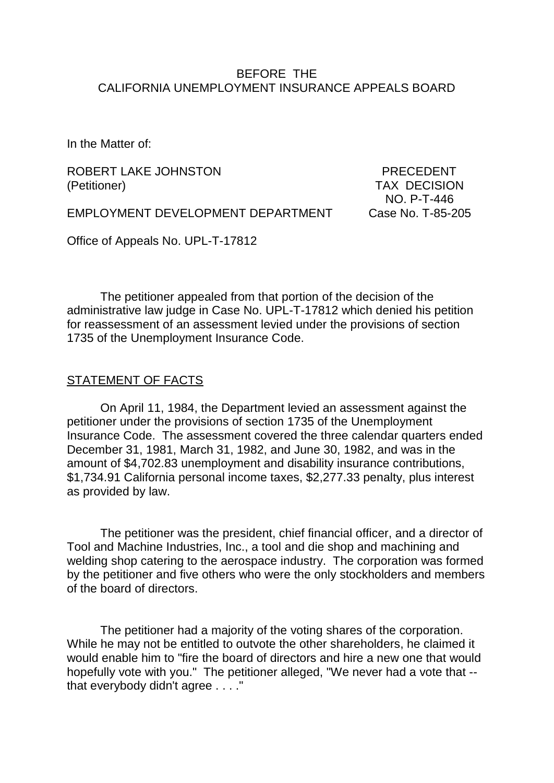#### BEFORE THE CALIFORNIA UNEMPLOYMENT INSURANCE APPEALS BOARD

In the Matter of:

ROBERT LAKE JOHNSTON PRECEDENT (Petitioner) TAX DECISION

NO. P-T-446

EMPLOYMENT DEVELOPMENT DEPARTMENT Case No. T-85-205

Office of Appeals No. UPL-T-17812

The petitioner appealed from that portion of the decision of the administrative law judge in Case No. UPL-T-17812 which denied his petition for reassessment of an assessment levied under the provisions of section 1735 of the Unemployment Insurance Code.

#### STATEMENT OF FACTS

On April 11, 1984, the Department levied an assessment against the petitioner under the provisions of section 1735 of the Unemployment Insurance Code. The assessment covered the three calendar quarters ended December 31, 1981, March 31, 1982, and June 30, 1982, and was in the amount of \$4,702.83 unemployment and disability insurance contributions, \$1,734.91 California personal income taxes, \$2,277.33 penalty, plus interest as provided by law.

The petitioner was the president, chief financial officer, and a director of Tool and Machine Industries, Inc., a tool and die shop and machining and welding shop catering to the aerospace industry. The corporation was formed by the petitioner and five others who were the only stockholders and members of the board of directors.

The petitioner had a majority of the voting shares of the corporation. While he may not be entitled to outvote the other shareholders, he claimed it would enable him to "fire the board of directors and hire a new one that would hopefully vote with you." The petitioner alleged, "We never had a vote that - that everybody didn't agree . . . ."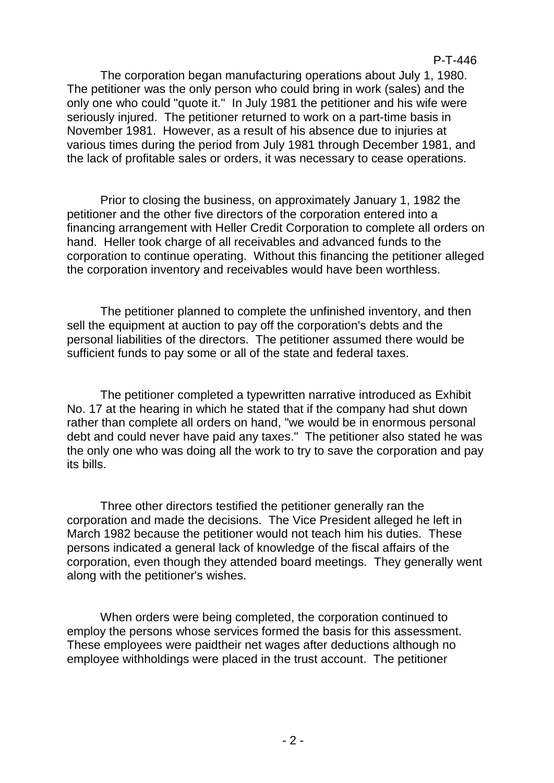The corporation began manufacturing operations about July 1, 1980. The petitioner was the only person who could bring in work (sales) and the only one who could "quote it." In July 1981 the petitioner and his wife were seriously injured. The petitioner returned to work on a part-time basis in November 1981. However, as a result of his absence due to injuries at various times during the period from July 1981 through December 1981, and the lack of profitable sales or orders, it was necessary to cease operations.

Prior to closing the business, on approximately January 1, 1982 the petitioner and the other five directors of the corporation entered into a financing arrangement with Heller Credit Corporation to complete all orders on hand. Heller took charge of all receivables and advanced funds to the corporation to continue operating. Without this financing the petitioner alleged the corporation inventory and receivables would have been worthless.

The petitioner planned to complete the unfinished inventory, and then sell the equipment at auction to pay off the corporation's debts and the personal liabilities of the directors. The petitioner assumed there would be sufficient funds to pay some or all of the state and federal taxes.

The petitioner completed a typewritten narrative introduced as Exhibit No. 17 at the hearing in which he stated that if the company had shut down rather than complete all orders on hand, "we would be in enormous personal debt and could never have paid any taxes." The petitioner also stated he was the only one who was doing all the work to try to save the corporation and pay its bills.

Three other directors testified the petitioner generally ran the corporation and made the decisions. The Vice President alleged he left in March 1982 because the petitioner would not teach him his duties. These persons indicated a general lack of knowledge of the fiscal affairs of the corporation, even though they attended board meetings. They generally went along with the petitioner's wishes.

When orders were being completed, the corporation continued to employ the persons whose services formed the basis for this assessment. These employees were paidtheir net wages after deductions although no employee withholdings were placed in the trust account. The petitioner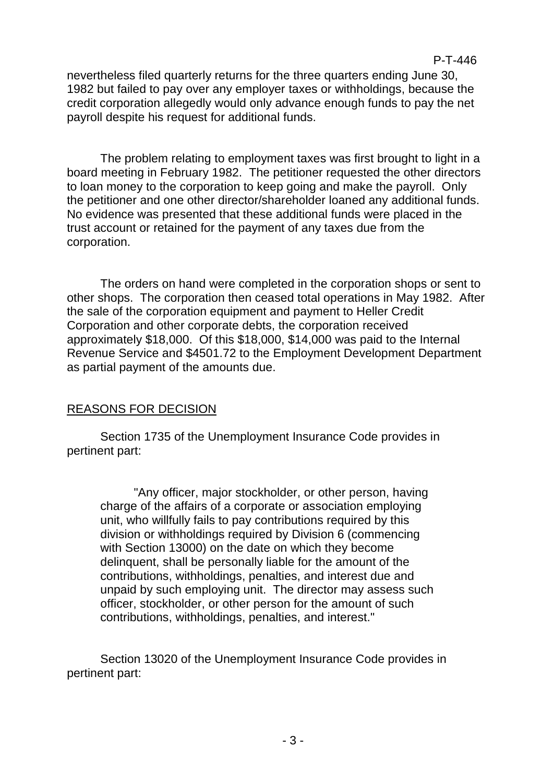nevertheless filed quarterly returns for the three quarters ending June 30, 1982 but failed to pay over any employer taxes or withholdings, because the credit corporation allegedly would only advance enough funds to pay the net payroll despite his request for additional funds.

The problem relating to employment taxes was first brought to light in a board meeting in February 1982. The petitioner requested the other directors to loan money to the corporation to keep going and make the payroll. Only the petitioner and one other director/shareholder loaned any additional funds. No evidence was presented that these additional funds were placed in the trust account or retained for the payment of any taxes due from the corporation.

The orders on hand were completed in the corporation shops or sent to other shops. The corporation then ceased total operations in May 1982. After the sale of the corporation equipment and payment to Heller Credit Corporation and other corporate debts, the corporation received approximately \$18,000. Of this \$18,000, \$14,000 was paid to the Internal Revenue Service and \$4501.72 to the Employment Development Department as partial payment of the amounts due.

# REASONS FOR DECISION

Section 1735 of the Unemployment Insurance Code provides in pertinent part:

"Any officer, major stockholder, or other person, having charge of the affairs of a corporate or association employing unit, who willfully fails to pay contributions required by this division or withholdings required by Division 6 (commencing with Section 13000) on the date on which they become delinquent, shall be personally liable for the amount of the contributions, withholdings, penalties, and interest due and unpaid by such employing unit. The director may assess such officer, stockholder, or other person for the amount of such contributions, withholdings, penalties, and interest."

Section 13020 of the Unemployment Insurance Code provides in pertinent part: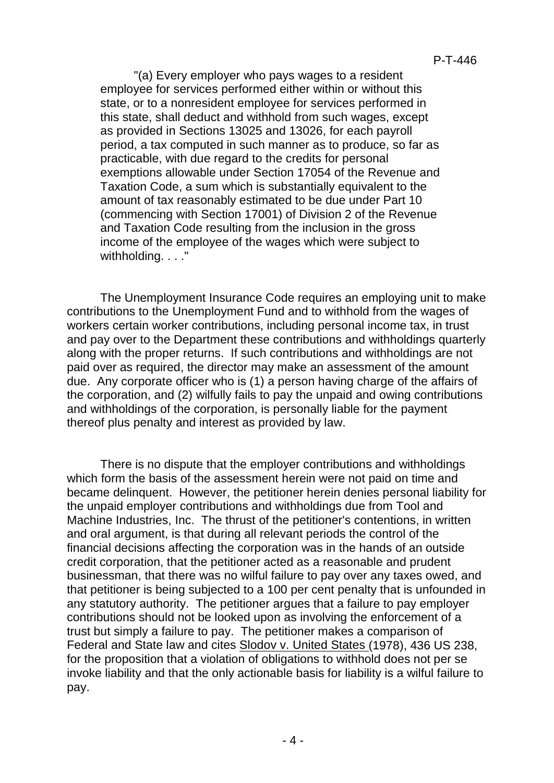"(a) Every employer who pays wages to a resident employee for services performed either within or without this state, or to a nonresident employee for services performed in this state, shall deduct and withhold from such wages, except as provided in Sections 13025 and 13026, for each payroll period, a tax computed in such manner as to produce, so far as practicable, with due regard to the credits for personal exemptions allowable under Section 17054 of the Revenue and Taxation Code, a sum which is substantially equivalent to the amount of tax reasonably estimated to be due under Part 10 (commencing with Section 17001) of Division 2 of the Revenue and Taxation Code resulting from the inclusion in the gross income of the employee of the wages which were subject to withholding. . . ."

The Unemployment Insurance Code requires an employing unit to make contributions to the Unemployment Fund and to withhold from the wages of workers certain worker contributions, including personal income tax, in trust and pay over to the Department these contributions and withholdings quarterly along with the proper returns. If such contributions and withholdings are not paid over as required, the director may make an assessment of the amount due. Any corporate officer who is (1) a person having charge of the affairs of the corporation, and (2) wilfully fails to pay the unpaid and owing contributions and withholdings of the corporation, is personally liable for the payment thereof plus penalty and interest as provided by law.

There is no dispute that the employer contributions and withholdings which form the basis of the assessment herein were not paid on time and became delinquent. However, the petitioner herein denies personal liability for the unpaid employer contributions and withholdings due from Tool and Machine Industries, Inc. The thrust of the petitioner's contentions, in written and oral argument, is that during all relevant periods the control of the financial decisions affecting the corporation was in the hands of an outside credit corporation, that the petitioner acted as a reasonable and prudent businessman, that there was no wilful failure to pay over any taxes owed, and that petitioner is being subjected to a 100 per cent penalty that is unfounded in any statutory authority. The petitioner argues that a failure to pay employer contributions should not be looked upon as involving the enforcement of a trust but simply a failure to pay. The petitioner makes a comparison of Federal and State law and cites Slodov v. United States (1978), 436 US 238, for the proposition that a violation of obligations to withhold does not per se invoke liability and that the only actionable basis for liability is a wilful failure to pay.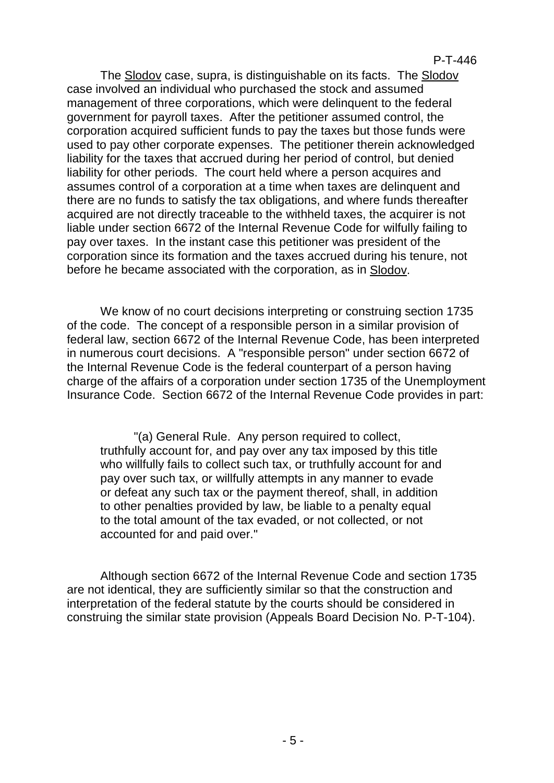The Slodov case, supra, is distinguishable on its facts. The Slodov case involved an individual who purchased the stock and assumed management of three corporations, which were delinquent to the federal government for payroll taxes. After the petitioner assumed control, the corporation acquired sufficient funds to pay the taxes but those funds were used to pay other corporate expenses. The petitioner therein acknowledged liability for the taxes that accrued during her period of control, but denied liability for other periods. The court held where a person acquires and assumes control of a corporation at a time when taxes are delinquent and there are no funds to satisfy the tax obligations, and where funds thereafter acquired are not directly traceable to the withheld taxes, the acquirer is not liable under section 6672 of the Internal Revenue Code for wilfully failing to pay over taxes. In the instant case this petitioner was president of the corporation since its formation and the taxes accrued during his tenure, not before he became associated with the corporation, as in Slodov.

We know of no court decisions interpreting or construing section 1735 of the code. The concept of a responsible person in a similar provision of federal law, section 6672 of the Internal Revenue Code, has been interpreted in numerous court decisions. A "responsible person" under section 6672 of the Internal Revenue Code is the federal counterpart of a person having charge of the affairs of a corporation under section 1735 of the Unemployment Insurance Code. Section 6672 of the Internal Revenue Code provides in part:

"(a) General Rule. Any person required to collect, truthfully account for, and pay over any tax imposed by this title who willfully fails to collect such tax, or truthfully account for and pay over such tax, or willfully attempts in any manner to evade or defeat any such tax or the payment thereof, shall, in addition to other penalties provided by law, be liable to a penalty equal to the total amount of the tax evaded, or not collected, or not accounted for and paid over."

Although section 6672 of the Internal Revenue Code and section 1735 are not identical, they are sufficiently similar so that the construction and interpretation of the federal statute by the courts should be considered in construing the similar state provision (Appeals Board Decision No. P-T-104).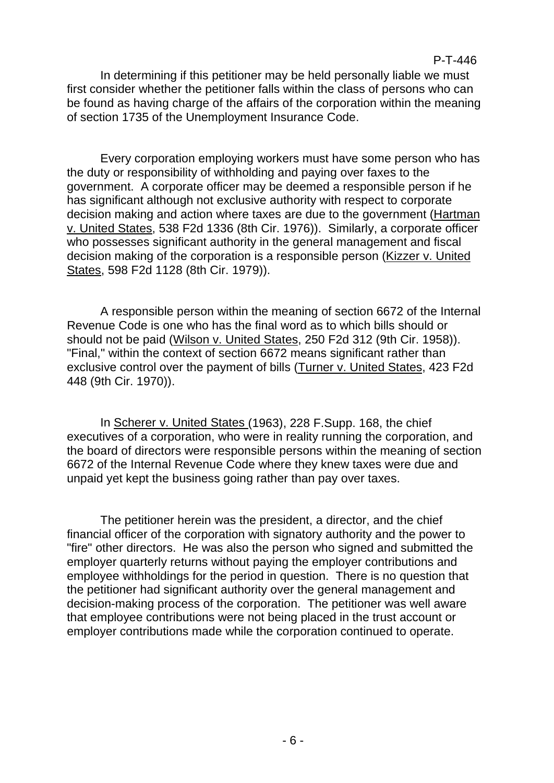In determining if this petitioner may be held personally liable we must first consider whether the petitioner falls within the class of persons who can be found as having charge of the affairs of the corporation within the meaning of section 1735 of the Unemployment Insurance Code.

Every corporation employing workers must have some person who has the duty or responsibility of withholding and paying over faxes to the government. A corporate officer may be deemed a responsible person if he has significant although not exclusive authority with respect to corporate decision making and action where taxes are due to the government (Hartman v. United States, 538 F2d 1336 (8th Cir. 1976)). Similarly, a corporate officer who possesses significant authority in the general management and fiscal decision making of the corporation is a responsible person (Kizzer v. United States, 598 F2d 1128 (8th Cir. 1979)).

A responsible person within the meaning of section 6672 of the Internal Revenue Code is one who has the final word as to which bills should or should not be paid (Wilson v. United States, 250 F2d 312 (9th Cir. 1958)). "Final," within the context of section 6672 means significant rather than exclusive control over the payment of bills (Turner v. United States, 423 F2d 448 (9th Cir. 1970)).

In Scherer v. United States (1963), 228 F.Supp. 168, the chief executives of a corporation, who were in reality running the corporation, and the board of directors were responsible persons within the meaning of section 6672 of the Internal Revenue Code where they knew taxes were due and unpaid yet kept the business going rather than pay over taxes.

The petitioner herein was the president, a director, and the chief financial officer of the corporation with signatory authority and the power to "fire" other directors. He was also the person who signed and submitted the employer quarterly returns without paying the employer contributions and employee withholdings for the period in question. There is no question that the petitioner had significant authority over the general management and decision-making process of the corporation. The petitioner was well aware that employee contributions were not being placed in the trust account or employer contributions made while the corporation continued to operate.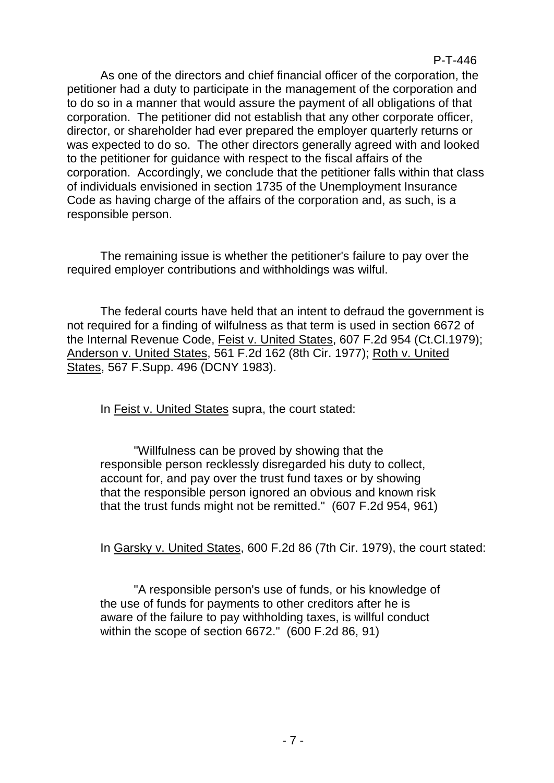As one of the directors and chief financial officer of the corporation, the petitioner had a duty to participate in the management of the corporation and to do so in a manner that would assure the payment of all obligations of that corporation. The petitioner did not establish that any other corporate officer, director, or shareholder had ever prepared the employer quarterly returns or was expected to do so. The other directors generally agreed with and looked to the petitioner for guidance with respect to the fiscal affairs of the corporation. Accordingly, we conclude that the petitioner falls within that class of individuals envisioned in section 1735 of the Unemployment Insurance Code as having charge of the affairs of the corporation and, as such, is a responsible person.

The remaining issue is whether the petitioner's failure to pay over the required employer contributions and withholdings was wilful.

The federal courts have held that an intent to defraud the government is not required for a finding of wilfulness as that term is used in section 6672 of the Internal Revenue Code, Feist v. United States, 607 F.2d 954 (Ct.Cl.1979); Anderson v. United States, 561 F.2d 162 (8th Cir. 1977); Roth v. United States, 567 F.Supp. 496 (DCNY 1983).

In Feist v. United States supra, the court stated:

"Willfulness can be proved by showing that the responsible person recklessly disregarded his duty to collect, account for, and pay over the trust fund taxes or by showing that the responsible person ignored an obvious and known risk that the trust funds might not be remitted." (607 F.2d 954, 961)

In Garsky v. United States, 600 F.2d 86 (7th Cir. 1979), the court stated:

"A responsible person's use of funds, or his knowledge of the use of funds for payments to other creditors after he is aware of the failure to pay withholding taxes, is willful conduct within the scope of section 6672." (600 F.2d 86, 91)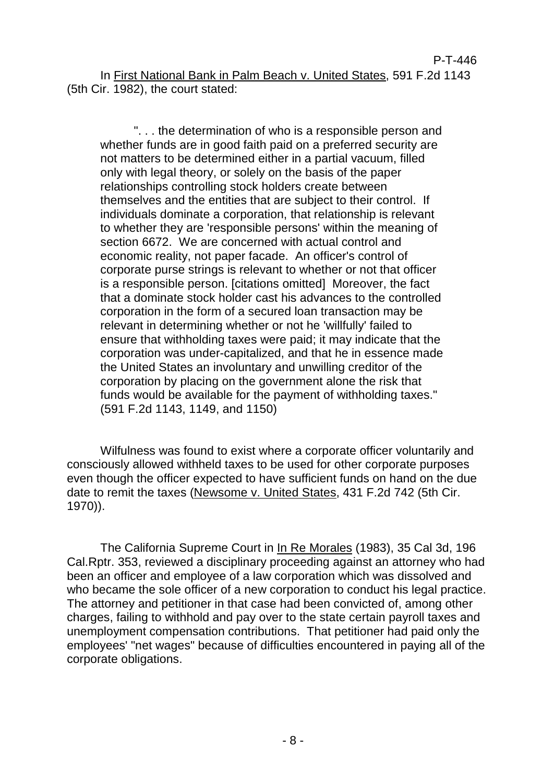". . . the determination of who is a responsible person and whether funds are in good faith paid on a preferred security are not matters to be determined either in a partial vacuum, filled only with legal theory, or solely on the basis of the paper relationships controlling stock holders create between themselves and the entities that are subject to their control. If individuals dominate a corporation, that relationship is relevant to whether they are 'responsible persons' within the meaning of section 6672. We are concerned with actual control and economic reality, not paper facade. An officer's control of corporate purse strings is relevant to whether or not that officer is a responsible person. [citations omitted] Moreover, the fact that a dominate stock holder cast his advances to the controlled corporation in the form of a secured loan transaction may be relevant in determining whether or not he 'willfully' failed to ensure that withholding taxes were paid; it may indicate that the corporation was under-capitalized, and that he in essence made the United States an involuntary and unwilling creditor of the corporation by placing on the government alone the risk that funds would be available for the payment of withholding taxes." (591 F.2d 1143, 1149, and 1150)

Wilfulness was found to exist where a corporate officer voluntarily and consciously allowed withheld taxes to be used for other corporate purposes even though the officer expected to have sufficient funds on hand on the due date to remit the taxes (Newsome v. United States, 431 F.2d 742 (5th Cir. 1970)).

The California Supreme Court in In Re Morales (1983), 35 Cal 3d, 196 Cal.Rptr. 353, reviewed a disciplinary proceeding against an attorney who had been an officer and employee of a law corporation which was dissolved and who became the sole officer of a new corporation to conduct his legal practice. The attorney and petitioner in that case had been convicted of, among other charges, failing to withhold and pay over to the state certain payroll taxes and unemployment compensation contributions. That petitioner had paid only the employees' "net wages" because of difficulties encountered in paying all of the corporate obligations.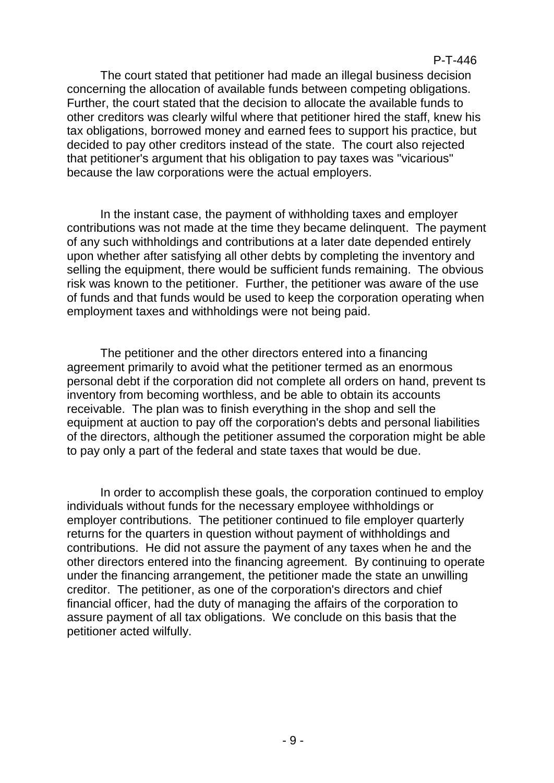The court stated that petitioner had made an illegal business decision concerning the allocation of available funds between competing obligations. Further, the court stated that the decision to allocate the available funds to other creditors was clearly wilful where that petitioner hired the staff, knew his tax obligations, borrowed money and earned fees to support his practice, but decided to pay other creditors instead of the state. The court also rejected that petitioner's argument that his obligation to pay taxes was "vicarious" because the law corporations were the actual employers.

In the instant case, the payment of withholding taxes and employer contributions was not made at the time they became delinquent. The payment of any such withholdings and contributions at a later date depended entirely upon whether after satisfying all other debts by completing the inventory and selling the equipment, there would be sufficient funds remaining. The obvious risk was known to the petitioner. Further, the petitioner was aware of the use of funds and that funds would be used to keep the corporation operating when employment taxes and withholdings were not being paid.

The petitioner and the other directors entered into a financing agreement primarily to avoid what the petitioner termed as an enormous personal debt if the corporation did not complete all orders on hand, prevent ts inventory from becoming worthless, and be able to obtain its accounts receivable. The plan was to finish everything in the shop and sell the equipment at auction to pay off the corporation's debts and personal liabilities of the directors, although the petitioner assumed the corporation might be able to pay only a part of the federal and state taxes that would be due.

In order to accomplish these goals, the corporation continued to employ individuals without funds for the necessary employee withholdings or employer contributions. The petitioner continued to file employer quarterly returns for the quarters in question without payment of withholdings and contributions. He did not assure the payment of any taxes when he and the other directors entered into the financing agreement. By continuing to operate under the financing arrangement, the petitioner made the state an unwilling creditor. The petitioner, as one of the corporation's directors and chief financial officer, had the duty of managing the affairs of the corporation to assure payment of all tax obligations. We conclude on this basis that the petitioner acted wilfully.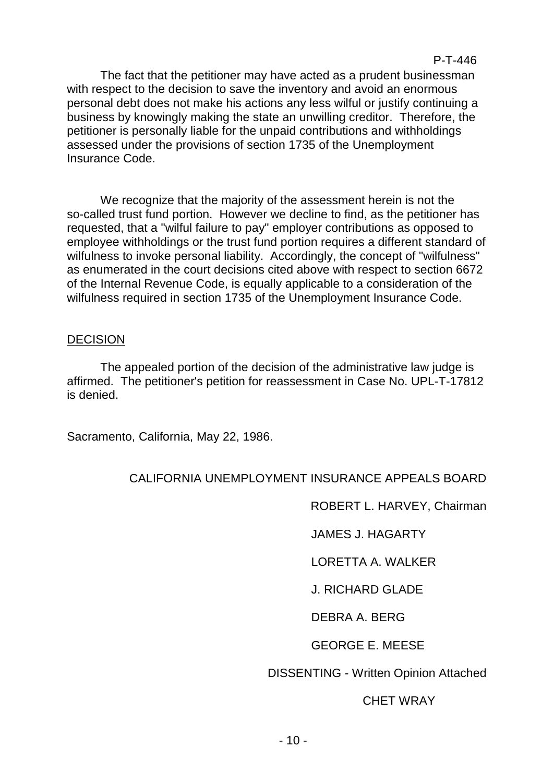The fact that the petitioner may have acted as a prudent businessman with respect to the decision to save the inventory and avoid an enormous personal debt does not make his actions any less wilful or justify continuing a business by knowingly making the state an unwilling creditor. Therefore, the petitioner is personally liable for the unpaid contributions and withholdings assessed under the provisions of section 1735 of the Unemployment Insurance Code.

We recognize that the majority of the assessment herein is not the so-called trust fund portion. However we decline to find, as the petitioner has requested, that a "wilful failure to pay" employer contributions as opposed to employee withholdings or the trust fund portion requires a different standard of wilfulness to invoke personal liability. Accordingly, the concept of "wilfulness" as enumerated in the court decisions cited above with respect to section 6672 of the Internal Revenue Code, is equally applicable to a consideration of the wilfulness required in section 1735 of the Unemployment Insurance Code.

#### **DECISION**

The appealed portion of the decision of the administrative law judge is affirmed. The petitioner's petition for reassessment in Case No. UPL-T-17812 is denied.

Sacramento, California, May 22, 1986.

# CALIFORNIA UNEMPLOYMENT INSURANCE APPEALS BOARD

ROBERT L. HARVEY, Chairman

JAMES J. HAGARTY

LORETTA A. WALKER

J. RICHARD GLADE

DEBRA A. BERG

# GEORGE E. MEESE

# DISSENTING - Written Opinion Attached

# CHET WRAY